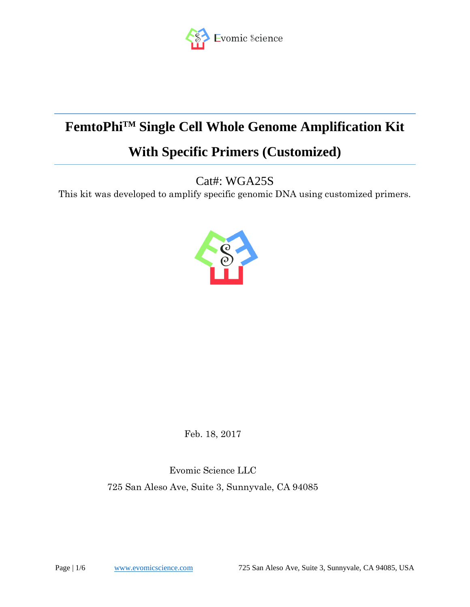

# **FemtoPhiTM Single Cell Whole Genome Amplification Kit**

# **With Specific Primers (Customized)**

Cat#: WGA25S

This kit was developed to amplify specific genomic DNA using customized primers.



Feb. 18, 2017

Evomic Science LLC 725 San Aleso Ave, Suite 3, Sunnyvale, CA 94085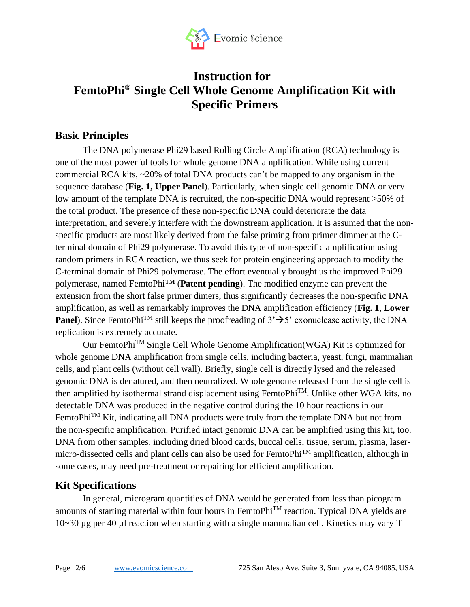

# **Instruction for FemtoPhi® Single Cell Whole Genome Amplification Kit with Specific Primers**

### **Basic Principles**

The DNA polymerase Phi29 based Rolling Circle Amplification (RCA) technology is one of the most powerful tools for whole genome DNA amplification. While using current commercial RCA kits, ~20% of total DNA products can't be mapped to any organism in the sequence database (**Fig. 1, Upper Panel**). Particularly, when single cell genomic DNA or very low amount of the template DNA is recruited, the non-specific DNA would represent >50% of the total product. The presence of these non-specific DNA could deteriorate the data interpretation, and severely interfere with the downstream application. It is assumed that the nonspecific products are most likely derived from the false priming from primer dimmer at the Cterminal domain of Phi29 polymerase. To avoid this type of non-specific amplification using random primers in RCA reaction, we thus seek for protein engineering approach to modify the C-terminal domain of Phi29 polymerase. The effort eventually brought us the improved Phi29 polymerase, named FemtoPhi**TM** (**Patent pending**). The modified enzyme can prevent the extension from the short false primer dimers, thus significantly decreases the non-specific DNA amplification, as well as remarkably improves the DNA amplification efficiency (**Fig. 1**, **Lower Panel**). Since FemtoPhi<sup>TM</sup> still keeps the proofreading of  $3' \rightarrow 5'$  exonuclease activity, the DNA replication is extremely accurate.

Our FemtoPhiTM Single Cell Whole Genome Amplification(WGA) Kit is optimized for whole genome DNA amplification from single cells, including bacteria, yeast, fungi, mammalian cells, and plant cells (without cell wall). Briefly, single cell is directly lysed and the released genomic DNA is denatured, and then neutralized. Whole genome released from the single cell is then amplified by isothermal strand displacement using FemtoPhiTM. Unlike other WGA kits, no detectable DNA was produced in the negative control during the 10 hour reactions in our FemtoPhi<sup>TM</sup> Kit, indicating all DNA products were truly from the template DNA but not from the non-specific amplification. Purified intact genomic DNA can be amplified using this kit, too. DNA from other samples, including dried blood cards, buccal cells, tissue, serum, plasma, lasermicro-dissected cells and plant cells can also be used for FemtoPhiTM amplification, although in some cases, may need pre-treatment or repairing for efficient amplification.

### **Kit Specifications**

In general, microgram quantities of DNA would be generated from less than picogram amounts of starting material within four hours in FemtoPhi<sup>TM</sup> reaction. Typical DNA yields are 10~30 µg per 40 µl reaction when starting with a single mammalian cell. Kinetics may vary if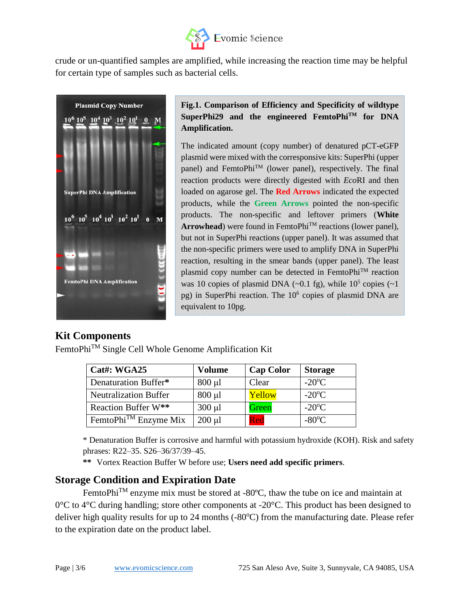

crude or un-quantified samples are amplified, while increasing the reaction time may be helpful for certain type of samples such as bacterial cells.



#### **Fig.1. Comparison of Efficiency and Specificity of wildtype SuperPhi29 and the engineered FemtoPhiTM for DNA Amplification.**

The indicated amount (copy number) of denatured pCT-eGFP plasmid were mixed with the corresponsive kits: SuperPhi (upper panel) and FemtoPhi<sup>TM</sup> (lower panel), respectively. The final reaction products were directly digested with *Eco*RI and then loaded on agarose gel. The **Red Arrows** indicated the expected products, while the **Green Arrows** pointed the non-specific products. The non-specific and leftover primers (**White Arrowhead**) were found in FemtoPhi<sup>TM</sup> reactions (lower panel), but not in SuperPhi reactions (upper panel). It was assumed that the non-specific primers were used to amplify DNA in SuperPhi reaction, resulting in the smear bands (upper panel). The least plasmid copy number can be detected in FemtoPhiTM reaction was 10 copies of plasmid DNA  $(\sim 0.1 \text{ fg})$ , while  $10^5$  copies  $(\sim 1$ pg) in SuperPhi reaction. The 10<sup>6</sup> copies of plasmid DNA are equivalent to 10pg.

### **Kit Components**

FemtoPhiTM Single Cell Whole Genome Amplification Kit

| Cat#: WGA25                      | <b>Volume</b> | <b>Cap Color</b> | <b>Storage</b>       |
|----------------------------------|---------------|------------------|----------------------|
| Denaturation Buffer*             | $800 \mu l$   | Clear            | $-20^{\circ}$ C      |
| <b>Neutralization Buffer</b>     | $800 \mu l$   | Yellow           | $-20$ <sup>o</sup> C |
| Reaction Buffer W**              | $300 \mu l$   | Green            | $-20$ <sup>o</sup> C |
| FemtoPhi <sup>™</sup> Enzyme Mix | $200 \mu l$   | Red              | $-80^{\circ}$ C      |

\* Denaturation Buffer is corrosive and harmful with potassium hydroxide (KOH). Risk and safety phrases: R22–35. S26–36/37/39–45.

**\*\*** Vortex Reaction Buffer W before use; **Users need add specific primers**.

### **Storage Condition and Expiration Date**

FemtoPhi<sup>™</sup> enzyme mix must be stored at -80°C, thaw the tube on ice and maintain at  $0^{\circ}$ C to 4<sup>o</sup>C during handling; store other components at -20<sup>o</sup>C. This product has been designed to deliver high quality results for up to 24 months  $(-80^{\circ}C)$  from the manufacturing date. Please refer to the expiration date on the product label.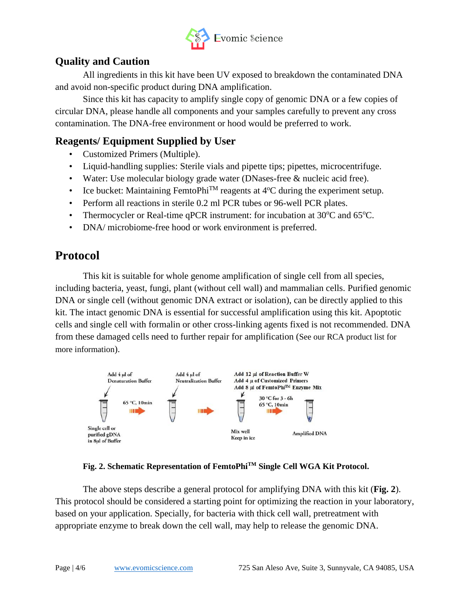

### **Quality and Caution**

All ingredients in this kit have been UV exposed to breakdown the contaminated DNA and avoid non-specific product during DNA amplification.

Since this kit has capacity to amplify single copy of genomic DNA or a few copies of circular DNA, please handle all components and your samples carefully to prevent any cross contamination. The DNA-free environment or hood would be preferred to work.

### **Reagents/ Equipment Supplied by User**

- Customized Primers (Multiple).
- Liquid-handling supplies: Sterile vials and pipette tips; pipettes, microcentrifuge.
- Water: Use molecular biology grade water (DNases-free & nucleic acid free).
- Ice bucket: Maintaining FemtoPhi<sup>TM</sup> reagents at  $4^{\circ}$ C during the experiment setup.
- Perform all reactions in sterile 0.2 ml PCR tubes or 96-well PCR plates.
- Thermocycler or Real-time qPCR instrument: for incubation at  $30^{\circ}$ C and  $65^{\circ}$ C.
- DNA/ microbiome-free hood or work environment is preferred.

## **Protocol**

This kit is suitable for whole genome amplification of single cell from all species, including bacteria, yeast, fungi, plant (without cell wall) and mammalian cells. Purified genomic DNA or single cell (without genomic DNA extract or isolation), can be directly applied to this kit. The intact genomic DNA is essential for successful amplification using this kit. Apoptotic cells and single cell with formalin or other cross-linking agents fixed is not recommended. DNA from these damaged cells need to further repair for amplification (See our RCA product list for more information).



#### **Fig. 2. Schematic Representation of FemtoPhiTM Single Cell WGA Kit Protocol.**

The above steps describe a general protocol for amplifying DNA with this kit (**Fig. 2**). This protocol should be considered a starting point for optimizing the reaction in your laboratory, based on your application. Specially, for bacteria with thick cell wall, pretreatment with appropriate enzyme to break down the cell wall, may help to release the genomic DNA.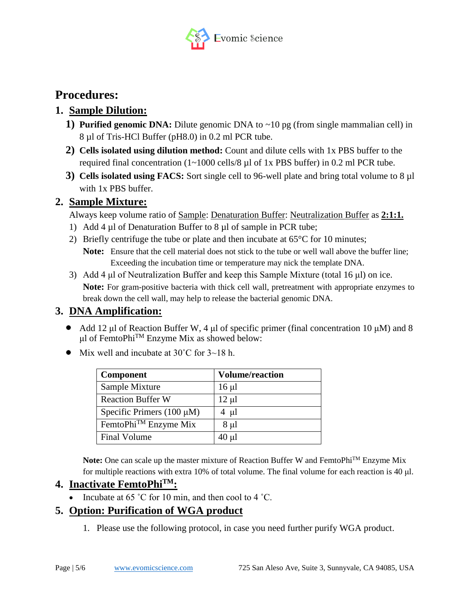

## **Procedures:**

### **1. Sample Dilution:**

- **1) Purified genomic DNA:** Dilute genomic DNA to ~10 pg (from single mammalian cell) in 8 µl of Tris-HCl Buffer (pH8.0) in 0.2 ml PCR tube.
- **2) Cells isolated using dilution method:** Count and dilute cells with 1x PBS buffer to the required final concentration (1~1000 cells/8 µl of 1x PBS buffer) in 0.2 ml PCR tube.
- **3) Cells isolated using FACS:** Sort single cell to 96-well plate and bring total volume to 8 µl with 1x PBS buffer.

#### **2. Sample Mixture:**

Always keep volume ratio of Sample: Denaturation Buffer: Neutralization Buffer as **2:1:1.**

- 1) Add 4  $\mu$ l of Denaturation Buffer to 8  $\mu$ l of sample in PCR tube;
- 2) Briefly centrifuge the tube or plate and then incubate at  $65^{\circ}$ C for 10 minutes;
	- **Note:** Ensure that the cell material does not stick to the tube or well wall above the buffer line; Exceeding the incubation time or temperature may nick the template DNA.
- 3) Add 4 μl of Neutralization Buffer and keep this Sample Mixture (total 16 μl) on ice. **Note:** For gram-positive bacteria with thick cell wall, pretreatment with appropriate enzymes to break down the cell wall, may help to release the bacterial genomic DNA.

### **3. DNA Amplification:**

- Add 12 μl of Reaction Buffer W, 4 μl of specific primer (final concentration 10  $\mu$ M) and 8 μl of FemtoPhiTM Enzyme Mix as showed below:
- Mix well and incubate at  $30^{\circ}$ C for  $3{\sim}18$  h.

| <b>Component</b>                 | <b>Volume/reaction</b> |
|----------------------------------|------------------------|
| Sample Mixture                   | $16 \mu l$             |
| <b>Reaction Buffer W</b>         | $12 \mu l$             |
| Specific Primers $(100 \mu M)$   | $4 \mu l$              |
| FemtoPhi <sup>™</sup> Enzyme Mix | $8 \mu l$              |
| <b>Final Volume</b>              | $40 \mu$ l             |

Note: One can scale up the master mixture of Reaction Buffer W and FemtoPhi<sup>TM</sup> Enzyme Mix for multiple reactions with extra 10% of total volume. The final volume for each reaction is 40 μl.

### **4. Inactivate FemtoPhiTM:**

• Incubate at 65 °C for 10 min, and then cool to 4 °C.

### **5. Option: Purification of WGA product**

1. Please use the following protocol, in case you need further purify WGA product.